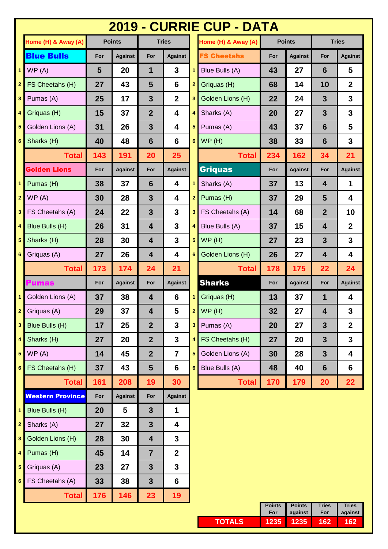|                         |                         |     |                |                         |                         |                         | <b>2019 - CURRIE CUP - DATA</b> |               |                |                         |                         |
|-------------------------|-------------------------|-----|----------------|-------------------------|-------------------------|-------------------------|---------------------------------|---------------|----------------|-------------------------|-------------------------|
|                         | Home (H) & Away (A)     |     | <b>Points</b>  |                         | <b>Tries</b>            |                         | Home (H) & Away (A)             |               | <b>Points</b>  |                         | <b>Tries</b>            |
|                         | <b>Blue Bulls</b>       | For | <b>Against</b> | For                     | <b>Against</b>          |                         | <b>FS Cheetahs</b>              | For           | <b>Against</b> | For                     | <b>Against</b>          |
| $\mathbf{1}$            | WP(A)                   | 5   | 20             | 1                       | $\mathbf{3}$            | 1                       | Blue Bulls (A)                  | 43            | 27             | 6                       | 5                       |
| $\overline{2}$          | FS Cheetahs (H)         | 27  | 43             | 5                       | 6                       | $\overline{2}$          | Griquas (H)                     | 68            | 14             | 10                      | $\overline{2}$          |
| 3                       | Pumas (A)               | 25  | 17             | 3                       | $\overline{2}$          | 3                       | Golden Lions (H)                | 22            | 24             | $\mathbf{3}$            | 3                       |
| 4                       | Griquas (H)             | 15  | 37             | $\overline{2}$          | 4                       | 4                       | Sharks (A)                      | 20            | 27             | $\mathbf{3}$            | 3                       |
| 5                       | Golden Lions (A)        | 31  | 26             | 3                       | 4                       | 5                       | Pumas (A)                       | 43            | 37             | $6\phantom{1}6$         | 5                       |
| 6 <sup>1</sup>          | Sharks (H)              | 40  | 48             | $6\phantom{1}$          | 6                       | $6\phantom{a}$          | WP(H)                           | 38            | 33             | $6\phantom{1}6$         | $\overline{\mathbf{3}}$ |
|                         | <b>Total</b>            | 143 | 191            | 20                      | 25                      |                         | <b>Total</b>                    | 234           | 162            | 34                      | 21                      |
|                         | <b>Golden Lions</b>     | For | <b>Against</b> | For                     | <b>Against</b>          |                         | <b>Griquas</b>                  | For           | <b>Against</b> | For                     | <b>Against</b>          |
| $\mathbf{1}$            | Pumas (H)               | 38  | 37             | $6\phantom{1}6$         | $\overline{\mathbf{4}}$ | 1                       | Sharks (A)                      | 37            | 13             | $\overline{\mathbf{4}}$ | $\mathbf{1}$            |
| $\mathbf{2}$            | WP(A)                   | 30  | 28             | 3                       | 4                       | $\overline{2}$          | Pumas (H)                       | 37            | 29             | 5                       | 4                       |
| 3                       | FS Cheetahs (A)         | 24  | 22             | $\overline{\mathbf{3}}$ | $\mathbf{3}$            | 3                       | FS Cheetahs (A)                 | 14            | 68             | $\boldsymbol{2}$        | 10                      |
| 4                       | Blue Bulls (H)          | 26  | 31             | 4                       | $\mathbf{3}$            | 4                       | Blue Bulls (A)                  | 37            | 15             | 4                       | $\mathbf 2$             |
| 5                       | Sharks (H)              | 28  | 30             | 4                       | 3                       | 5                       | WP(H)                           | 27            | 23             | $\mathbf{3}$            | 3                       |
| 6                       | Griquas (A)             | 27  | 26             | 4                       | 4                       | $6\phantom{1}$          | Golden Lions (H)                | 26            | 27             | 4                       | 4                       |
|                         | <b>Total</b>            | 173 | 174            | 24                      | 21                      |                         | <b>Total</b>                    | 178           | 175            | 22                      | 24                      |
|                         | <b>Pumas</b>            | For | <b>Against</b> | For                     | <b>Against</b>          |                         | <b>Sharks</b>                   | For           | <b>Against</b> | For                     | <b>Against</b>          |
|                         | Golden Lions (A)        | 37  | 38             | 4                       | 6                       |                         | Griquas (H)                     | 13            | 37             | $\mathbf 1$             | 4                       |
| $\mathbf{2}$            | Griquas (A)             | 29  | 37             | 4                       | 5                       | $\overline{2}$          | WP(H)                           | 32            | 27             | 4                       | 3                       |
| $\overline{\mathbf{3}}$ | Blue Bulls (H)          | 17  | 25             | $\overline{2}$          | $\mathbf{3}$            | $\overline{\mathbf{3}}$ | Pumas (A)                       | 20            | 27             | $\mathbf{3}$            | $\overline{2}$          |
| 4                       | Sharks (H)              | 27  | 20             | $\overline{2}$          | $\mathbf{3}$            | 4                       | FS Cheetahs (H)                 | 27            | 20             | $\mathbf{3}$            | 3                       |
| $\sqrt{5}$              | WP(A)                   | 14  | 45             | $\overline{2}$          | $\overline{7}$          | 5                       | Golden Lions (A)                | 30            | 28             | $\mathbf{3}$            | 4                       |
| 6 <sup>1</sup>          | FS Cheetahs (H)         | 37  | 43             | $5\phantom{1}$          | 6                       | $6\phantom{1}$          | Blue Bulls (A)                  | 48            | 40             | $6\phantom{1}6$         | $6\phantom{1}$          |
|                         | <b>Total</b>            | 161 | 208            | 19                      | 30                      |                         | <b>Total</b>                    | 170           | 179            | 20                      | 22                      |
|                         | <b>Western Province</b> | For | <b>Against</b> | For                     | <b>Against</b>          |                         |                                 |               |                |                         |                         |
| $\blacktriangleleft$    | Blue Bulls (H)          | 20  | 5              | $\overline{3}$          | $\mathbf 1$             |                         |                                 |               |                |                         |                         |
| $\mathbf{2}$            | Sharks (A)              | 27  | 32             | $\mathbf{3}$            | 4                       |                         |                                 |               |                |                         |                         |
| $\mathbf{3}$            | Golden Lions (H)        | 28  | 30             | $\overline{\mathbf{4}}$ | $\mathbf{3}$            |                         |                                 |               |                |                         |                         |
| 4                       | Pumas (H)               | 45  | 14             | $\overline{7}$          | $\mathbf{2}$            |                         |                                 |               |                |                         |                         |
| $\sqrt{5}$              | Griquas (A)             | 23  | 27             | $\mathbf{3}$            | $\mathbf{3}$            |                         |                                 |               |                |                         |                         |
| 6 <sup>1</sup>          | FS Cheetahs (A)         | 33  | 38             | $\overline{\mathbf{3}}$ | 6                       |                         |                                 |               |                |                         |                         |
|                         | <b>Total</b>            | 176 | 146            | 23                      | 19 <sup>°</sup>         |                         |                                 | <b>Points</b> | <b>Points</b>  | <b>Tries</b>            | <b>Tries</b>            |

|         | For  | against | For | against |
|---------|------|---------|-----|---------|
| TOTAL S | 1235 | 1235    |     |         |